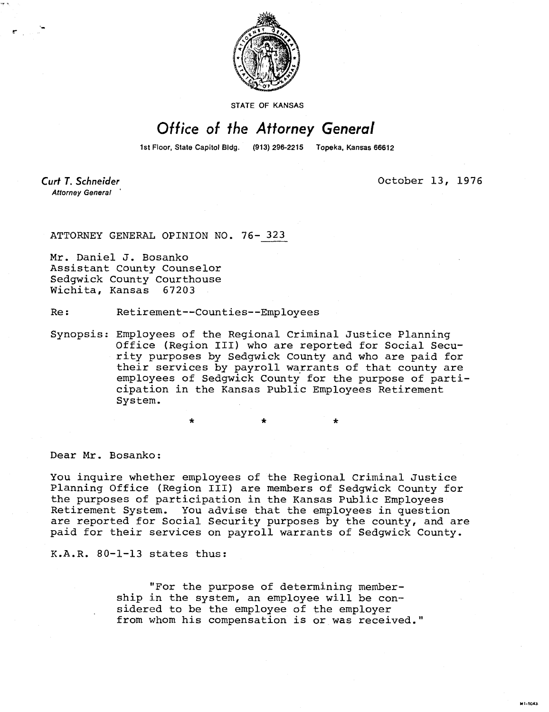

STATE OF KANSAS

## Office of the Attorney General

1st Floor, State Capitol Bldg.

**Curt T. Schneider Attorney General** 

October 13, 1976

MI-1043

ATTORNEY GENERAL OPINION NO. 76- 323

Mr. Daniel J. Bosanko Assistant County Counselor Sedgwick County Courthouse Wichita, Kansas 67203

Re: Retirement--Counties--Employees

Synopsis: Employees of the Regional Criminal Justice Planning Office (Region III) who are reported for Social Security purposes by Sedgwick County and who are paid for their services by payroll warrants of that county are employees of Sedgwick County for the purpose of participation in the Kansas Public Employees Retirement System.

Dear Mr. Bosanko:

You inquire whether employees of the Regional Criminal Justice Planning Office (Region III) are members of Sedgwick County for the purposes of participation in the Kansas Public Employees Retirement System. You advise that the employees in question are reported for Social Security purposes by the county, and are paid for their services on payroll warrants of Sedgwick County.

K.A.R. 80-1-13 states thus:

"For the purpose of determining membership in the system, an employee will be considered to be the employee of the employer from whom his compensation is or was received."